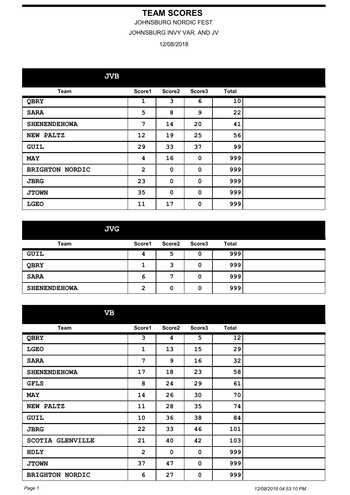## **TEAM SCORES**

JOHNSBURG NORDIC FEST

JOHNSBURG INVY VAR. AND JV

## 12/08/2018

**JVB**

| <b>Team</b>            | Score1         | Score2      | Score3      | <b>Total</b> |  |
|------------------------|----------------|-------------|-------------|--------------|--|
| QBRY                   | $\mathbf 1$    | 3           | 6           | 10           |  |
| <b>SARA</b>            | $\overline{5}$ | 8           | 9           | 22           |  |
| <b>SHENENDEHOWA</b>    | 7              | 14          | 20          | 41           |  |
| NEW PALTZ              | 12             | 19          | 25          | 56           |  |
| <b>GUIL</b>            | 29             | 33          | 37          | 99           |  |
| <b>MAY</b>             | 4              | 16          | $\mathbf 0$ | 999          |  |
| <b>BRIGHTON NORDIC</b> | $\overline{2}$ | $\mathbf 0$ | $\mathbf 0$ | 999          |  |
| <b>JBRG</b>            | 23             | $\mathbf 0$ | 0           | 999          |  |
| <b>JTOWN</b>           | 35             | $\mathbf 0$ | $\mathbf 0$ | 999          |  |
| <b>LGEO</b>            | 11             | 17          | $\mathbf 0$ | 999          |  |

**JVG**

| Team                | Score1 | Score <sub>2</sub> | Score3 | <b>Total</b> |  |
|---------------------|--------|--------------------|--------|--------------|--|
| GUIL                | 4      | 5                  | u      | 999          |  |
| QBRY                |        |                    | 0      | 999          |  |
| <b>SARA</b>         | 6      |                    | 0      | 999          |  |
| <b>SHENENDEHOWA</b> | ົ<br>∠ | 0                  | 0      | 999          |  |

**VB**

| <b>Team</b>             | Score1       | Score2 | Score3 | <b>Total</b> |  |
|-------------------------|--------------|--------|--------|--------------|--|
| QBRY                    | 3            | 4      | 5      | 12           |  |
| <b>LGEO</b>             | 1            | 13     | 15     | 29           |  |
| <b>SARA</b>             | 7            | 9      | 16     | 32           |  |
| <b>SHENENDEHOWA</b>     | 17           | 18     | 23     | 58           |  |
| <b>GFLS</b>             | 8            | 24     | 29     | 61           |  |
| <b>MAY</b>              | 14           | 26     | 30     | 70           |  |
| <b>NEW PALTZ</b>        | 11           | 28     | 35     | 74           |  |
| <b>GUIL</b>             | 10           | 36     | 38     | 84           |  |
| <b>JBRG</b>             | 22           | 33     | 46     | 101          |  |
| <b>SCOTIA GLENVILLE</b> | 21           | 40     | 42     | 103          |  |
| HDLY                    | $\mathbf{2}$ | 0      | 0      | 999          |  |
| <b>JTOWN</b>            | 37           | 47     | 0      | 999          |  |
| <b>BRIGHTON NORDIC</b>  | 6            | 27     | 0      | 999          |  |